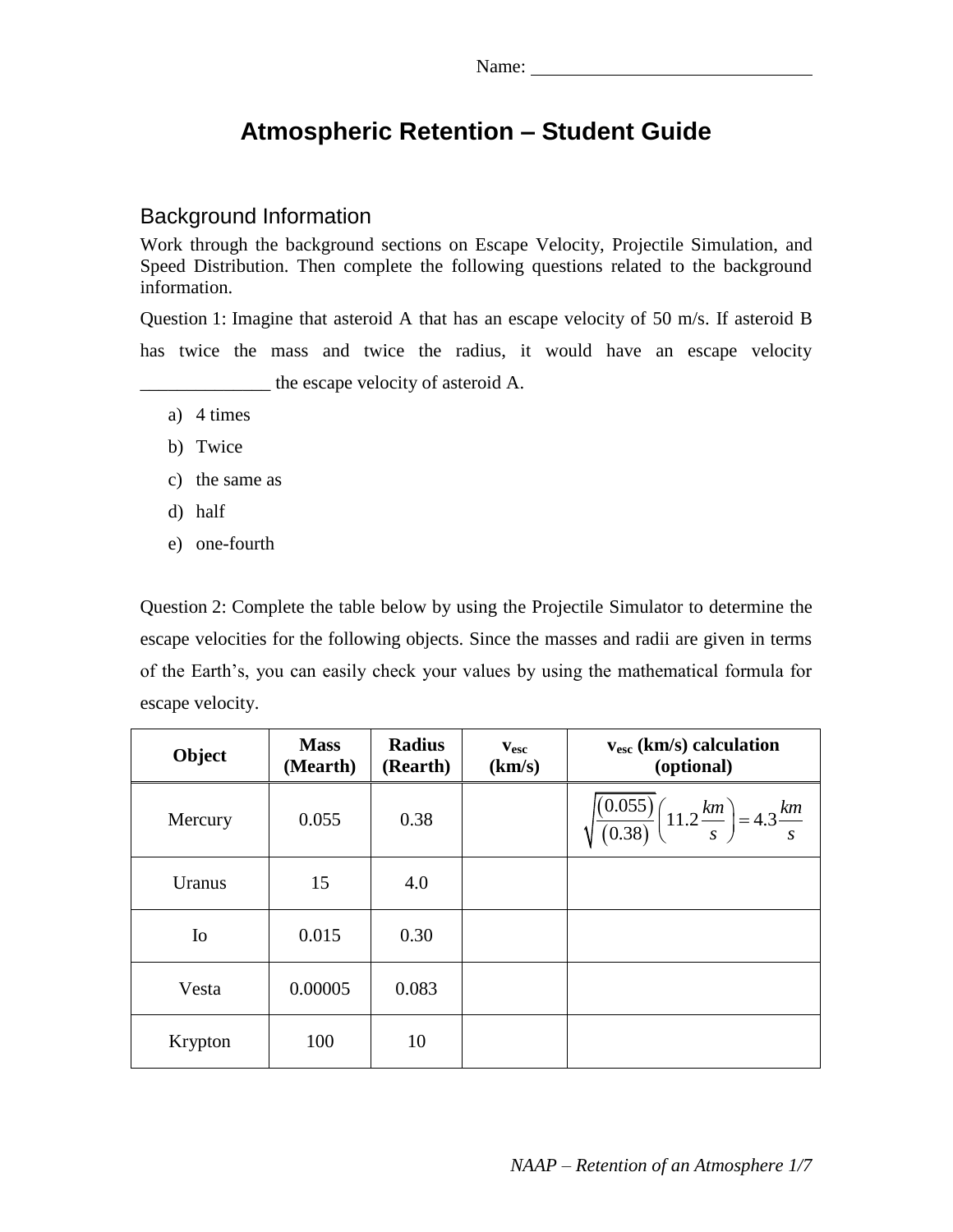# **Atmospheric Retention – Student Guide**

### Background Information

Work through the background sections on Escape Velocity, Projectile Simulation, and Speed Distribution. Then complete the following questions related to the background information.

Question 1: Imagine that asteroid A that has an escape velocity of 50 m/s. If asteroid B has twice the mass and twice the radius, it would have an escape velocity \_\_\_\_\_\_\_\_\_\_\_\_\_\_ the escape velocity of asteroid A.

- a) 4 times
- b) Twice
- c) the same as
- d) half
- e) one-fourth

Question 2: Complete the table below by using the Projectile Simulator to determine the escape velocities for the following objects. Since the masses and radii are given in terms of the Earth's, you can easily check your values by using the mathematical formula for escape velocity.

| Object         | <b>Mass</b><br>(Mearth) | <b>Radius</b><br>(Rearth) | $\mathbf{v}_{\mathbf{esc}}$<br>(km/s) | $v_{\rm esc}$ (km/s) calculation<br>(optional)                                    |
|----------------|-------------------------|---------------------------|---------------------------------------|-----------------------------------------------------------------------------------|
| Mercury        | 0.055                   | 0.38                      |                                       | $\sqrt{\frac{(0.055)}{(0.38)}} \left(11.2 \frac{km}{s}\right) = 4.3 \frac{km}{s}$ |
| Uranus         | 15                      | 4.0                       |                                       |                                                                                   |
| I <sub>0</sub> | 0.015                   | 0.30                      |                                       |                                                                                   |
| Vesta          | 0.00005                 | 0.083                     |                                       |                                                                                   |
| Krypton        | 100                     | 10                        |                                       |                                                                                   |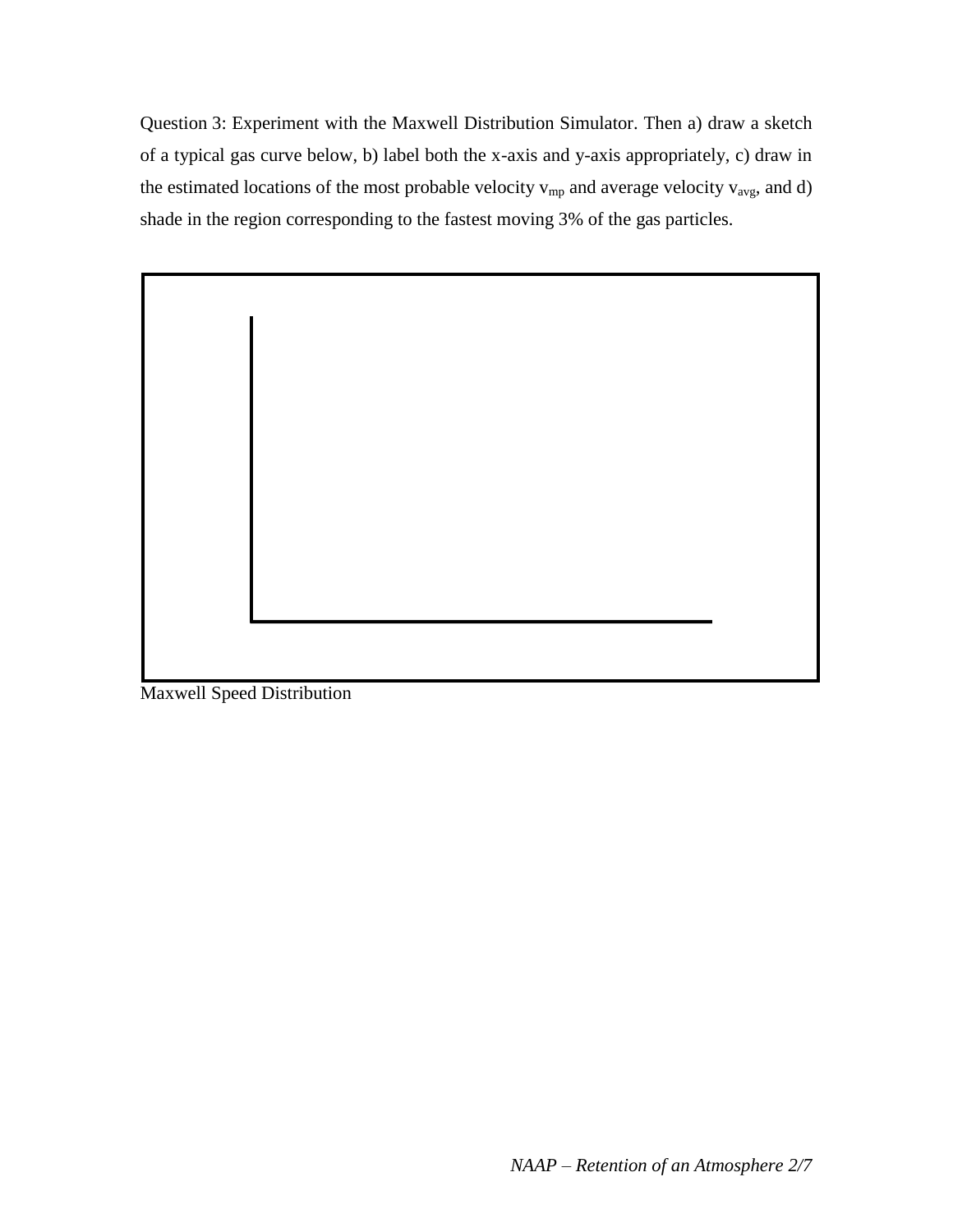Question 3: Experiment with the Maxwell Distribution Simulator. Then a) draw a sketch of a typical gas curve below, b) label both the x-axis and y-axis appropriately, c) draw in the estimated locations of the most probable velocity  $v_{mp}$  and average velocity  $v_{avg}$ , and d) shade in the region corresponding to the fastest moving 3% of the gas particles.

Maxwell Speed Distribution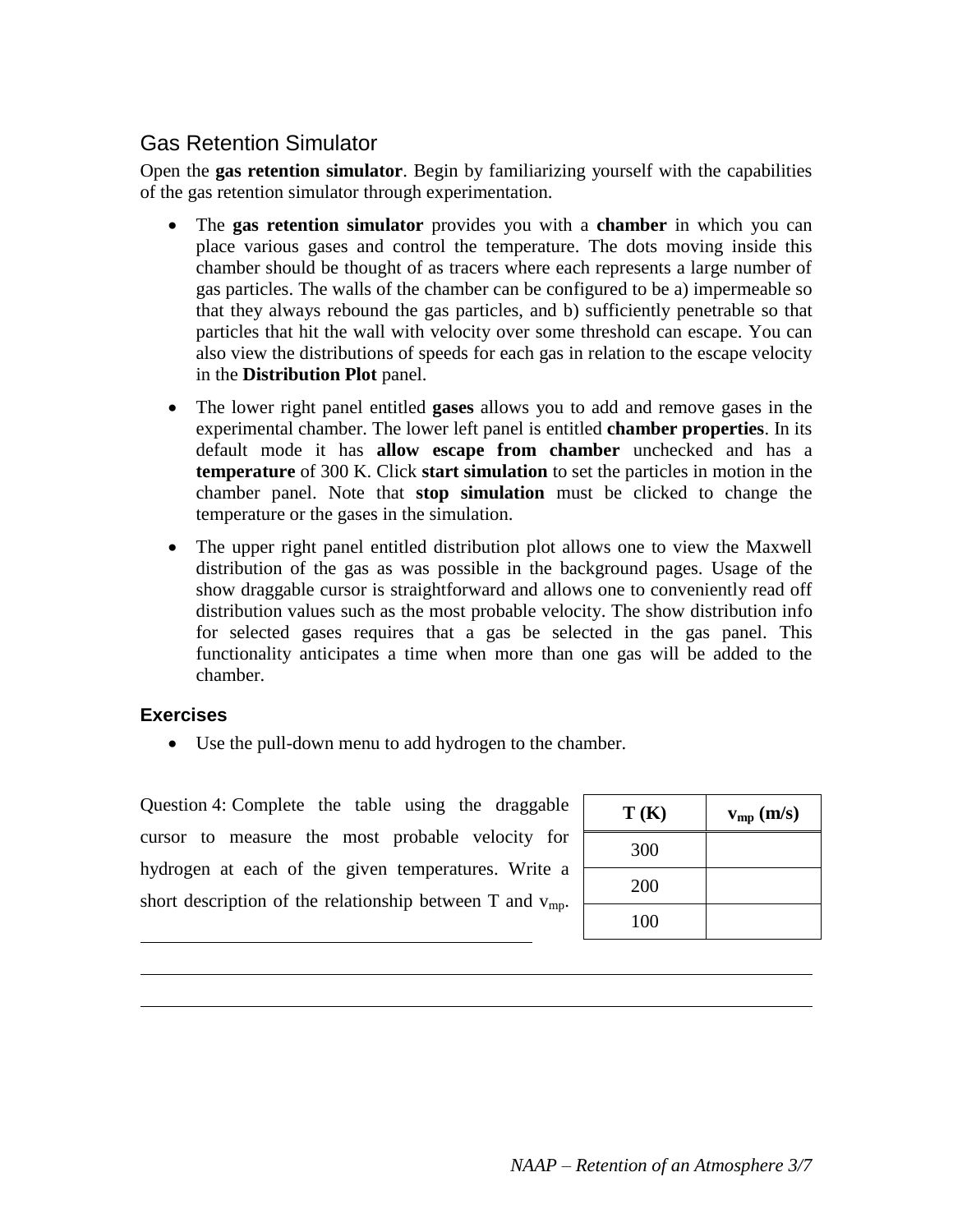## Gas Retention Simulator

Open the **gas retention simulator**. Begin by familiarizing yourself with the capabilities of the gas retention simulator through experimentation.

- The **gas retention simulator** provides you with a **chamber** in which you can place various gases and control the temperature. The dots moving inside this chamber should be thought of as tracers where each represents a large number of gas particles. The walls of the chamber can be configured to be a) impermeable so that they always rebound the gas particles, and b) sufficiently penetrable so that particles that hit the wall with velocity over some threshold can escape. You can also view the distributions of speeds for each gas in relation to the escape velocity in the **Distribution Plot** panel.
- The lower right panel entitled **gases** allows you to add and remove gases in the experimental chamber. The lower left panel is entitled **chamber properties**. In its default mode it has **allow escape from chamber** unchecked and has a **temperature** of 300 K. Click **start simulation** to set the particles in motion in the chamber panel. Note that **stop simulation** must be clicked to change the temperature or the gases in the simulation.
- The upper right panel entitled distribution plot allows one to view the Maxwell distribution of the gas as was possible in the background pages. Usage of the show draggable cursor is straightforward and allows one to conveniently read off distribution values such as the most probable velocity. The show distribution info for selected gases requires that a gas be selected in the gas panel. This functionality anticipates a time when more than one gas will be added to the chamber.

#### **Exercises**

Use the pull-down menu to add hydrogen to the chamber.

Question 4: Complete the table using the draggable cursor to measure the most probable velocity for hydrogen at each of the given temperatures. Write a short description of the relationship between  $T$  and  $v_{\text{mp}}$ .

| T(K) | $v_{mp}(m/s)$ |
|------|---------------|
| 300  |               |
| 200  |               |
| 100  |               |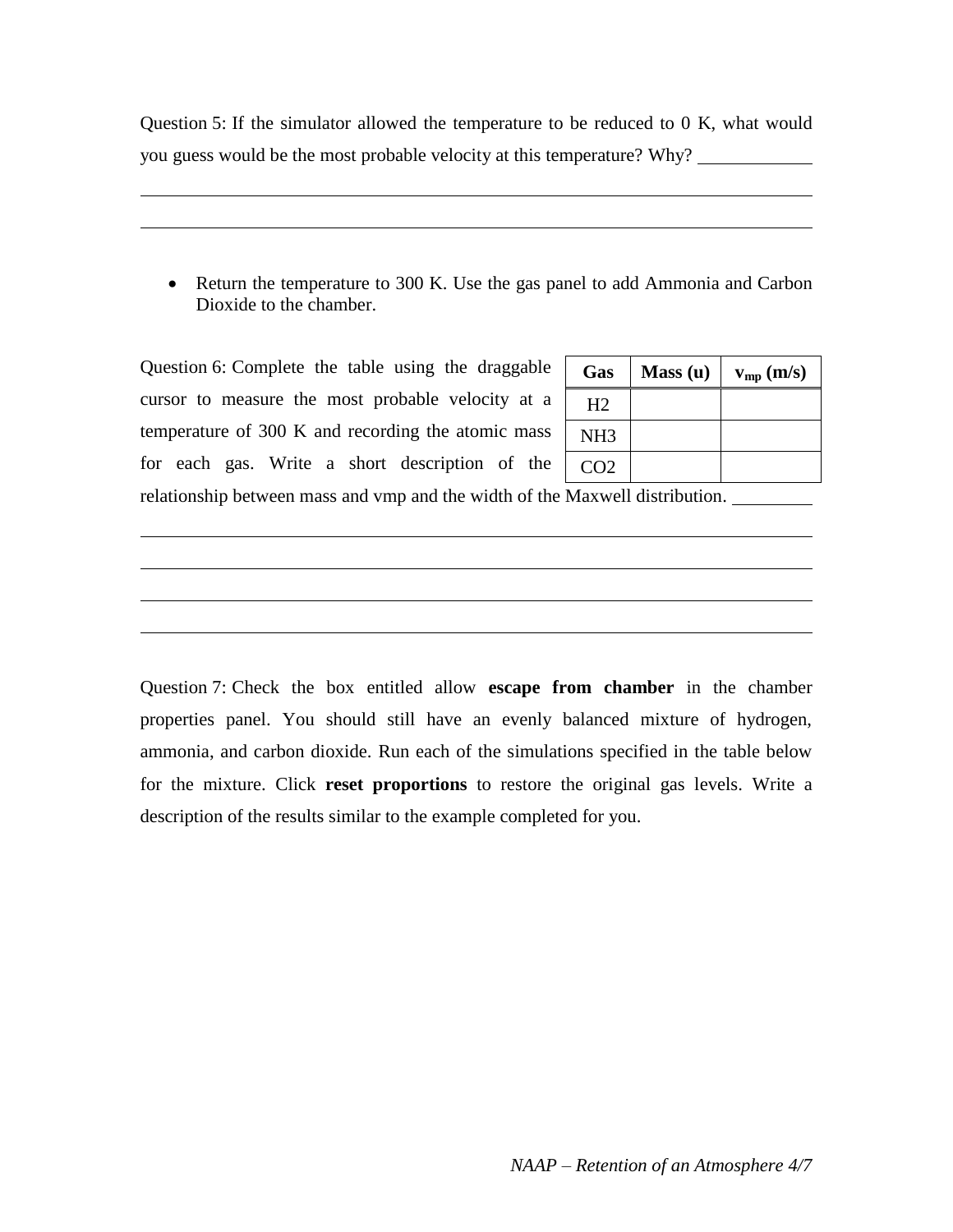Question 5: If the simulator allowed the temperature to be reduced to 0 K, what would you guess would be the most probable velocity at this temperature? Why?

• Return the temperature to 300 K. Use the gas panel to add Ammonia and Carbon Dioxide to the chamber.

Question 6: Complete the table using the draggable cursor to measure the most probable velocity at a temperature of 300 K and recording the atomic mass for each gas. Write a short description of the

| <b>Gas</b>      | Mass(u) | $v_{mp}(m/s)$ |
|-----------------|---------|---------------|
| H2              |         |               |
| NH <sub>3</sub> |         |               |
| CO <sub>2</sub> |         |               |

relationship between mass and vmp and the width of the Maxwell distribution.

Question 7: Check the box entitled allow **escape from chamber** in the chamber properties panel. You should still have an evenly balanced mixture of hydrogen, ammonia, and carbon dioxide. Run each of the simulations specified in the table below for the mixture. Click **reset proportions** to restore the original gas levels. Write a description of the results similar to the example completed for you.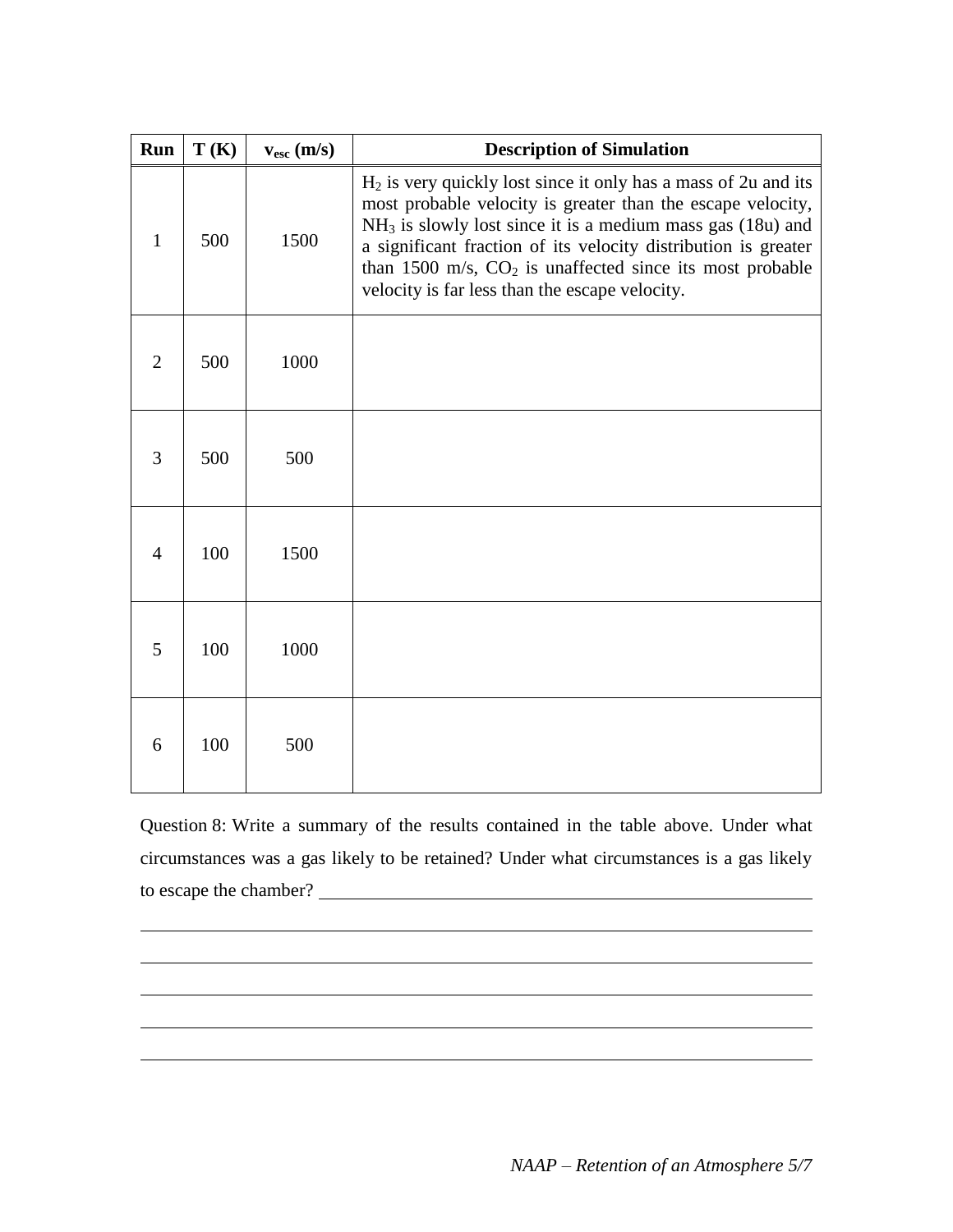| Run            | T(K) | $v_{\rm esc}$ (m/s) | <b>Description of Simulation</b>                                                                                                                                                                                                                                                                                                                                                   |
|----------------|------|---------------------|------------------------------------------------------------------------------------------------------------------------------------------------------------------------------------------------------------------------------------------------------------------------------------------------------------------------------------------------------------------------------------|
| $\mathbf{1}$   | 500  | 1500                | $H_2$ is very quickly lost since it only has a mass of 2u and its<br>most probable velocity is greater than the escape velocity,<br>$NH3$ is slowly lost since it is a medium mass gas (18u) and<br>a significant fraction of its velocity distribution is greater<br>than 1500 m/s, $CO2$ is unaffected since its most probable<br>velocity is far less than the escape velocity. |
| $\overline{2}$ | 500  | 1000                |                                                                                                                                                                                                                                                                                                                                                                                    |
| 3              | 500  | 500                 |                                                                                                                                                                                                                                                                                                                                                                                    |
| $\overline{4}$ | 100  | 1500                |                                                                                                                                                                                                                                                                                                                                                                                    |
| 5              | 100  | 1000                |                                                                                                                                                                                                                                                                                                                                                                                    |
| 6              | 100  | 500                 |                                                                                                                                                                                                                                                                                                                                                                                    |

Question 8: Write a summary of the results contained in the table above. Under what circumstances was a gas likely to be retained? Under what circumstances is a gas likely to escape the chamber?

<u> 1989 - Johann Barn, fransk politik (f. 1989)</u>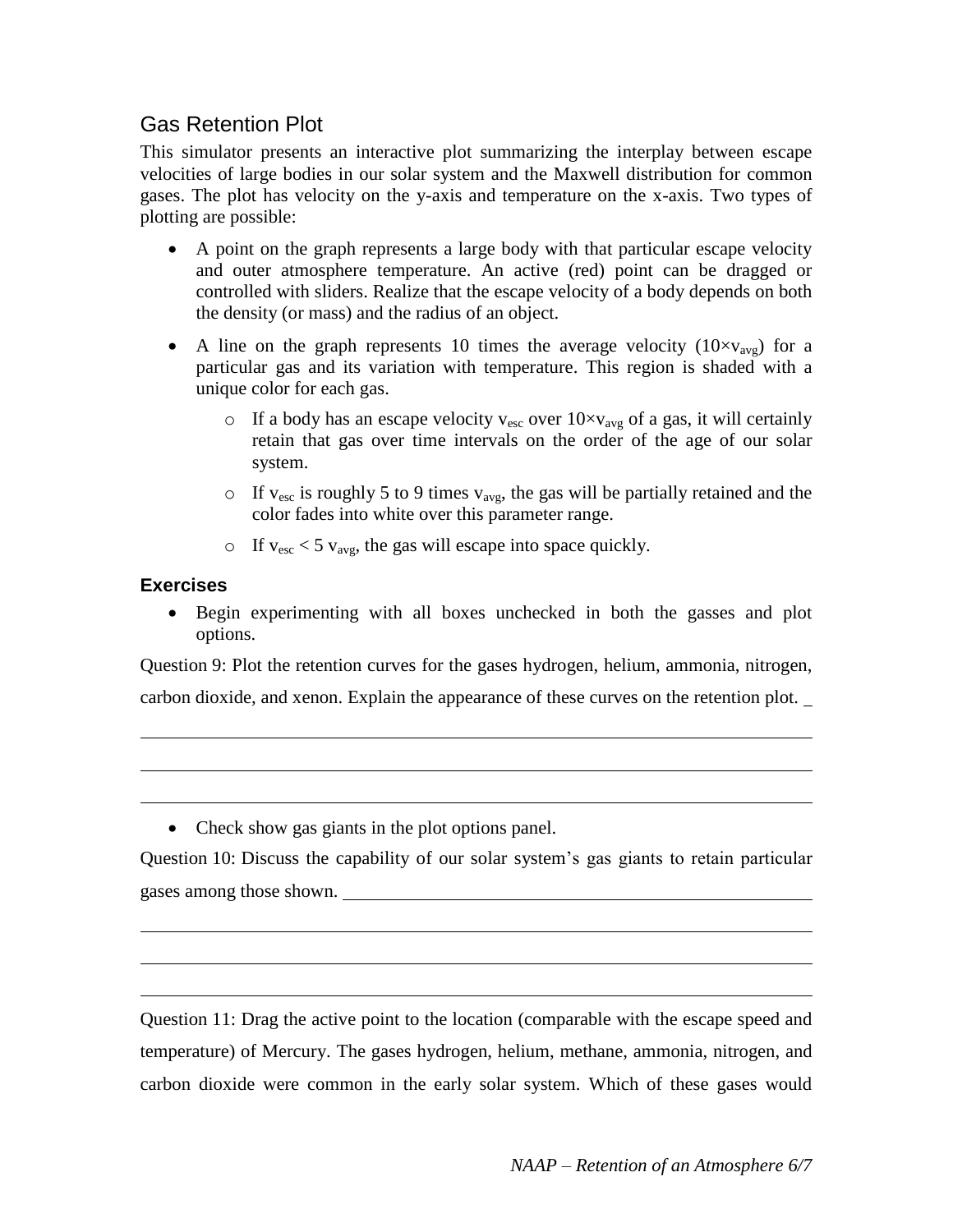## Gas Retention Plot

This simulator presents an interactive plot summarizing the interplay between escape velocities of large bodies in our solar system and the Maxwell distribution for common gases. The plot has velocity on the y-axis and temperature on the x-axis. Two types of plotting are possible:

- A point on the graph represents a large body with that particular escape velocity and outer atmosphere temperature. An active (red) point can be dragged or controlled with sliders. Realize that the escape velocity of a body depends on both the density (or mass) and the radius of an object.
- A line on the graph represents 10 times the average velocity  $(10 \times v_{\text{avg}})$  for a particular gas and its variation with temperature. This region is shaded with a unique color for each gas.
	- o If a body has an escape velocity  $v_{\text{esc}}$  over  $10 \times v_{\text{avg}}$  of a gas, it will certainly retain that gas over time intervals on the order of the age of our solar system.
	- $\circ$  If v<sub>esc</sub> is roughly 5 to 9 times v<sub>avg</sub>, the gas will be partially retained and the color fades into white over this parameter range.
	- $\circ$  If v<sub>esc</sub> < 5 v<sub>avg</sub>, the gas will escape into space quickly.

#### **Exercises**

 Begin experimenting with all boxes unchecked in both the gasses and plot options.

Question 9: Plot the retention curves for the gases hydrogen, helium, ammonia, nitrogen,

carbon dioxide, and xenon. Explain the appearance of these curves on the retention plot.

• Check show gas giants in the plot options panel.

Question 10: Discuss the capability of our solar system's gas giants to retain particular gases among those shown.

Question 11: Drag the active point to the location (comparable with the escape speed and temperature) of Mercury. The gases hydrogen, helium, methane, ammonia, nitrogen, and carbon dioxide were common in the early solar system. Which of these gases would